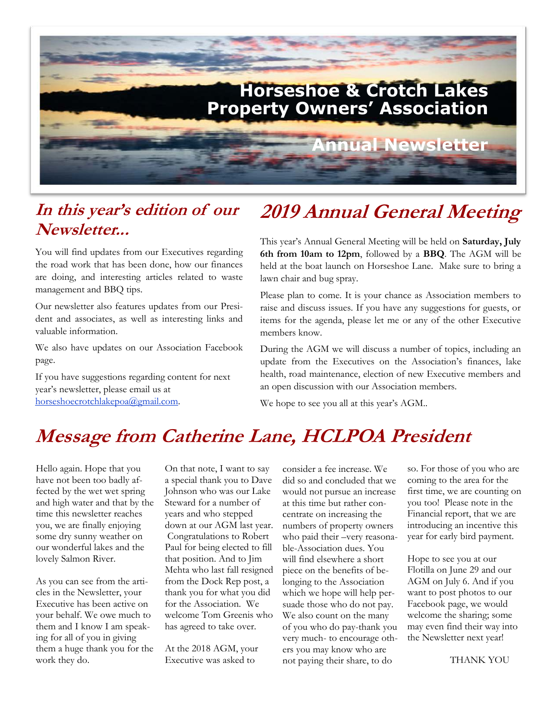

## **In this year's edition of our Newsletter...**

You will find updates from our Executives regarding the road work that has been done, how our finances are doing, and interesting articles related to waste management and BBQ tips.

Our newsletter also features updates from our President and associates, as well as interesting links and valuable information.

We also have updates on our Association Facebook page.

If you have suggestions regarding content for next year's newsletter, please email us at horseshoecrotchlakepoa@gmail.com.

# **2019 Annual General Meeting**

This year's Annual General Meeting will be held on **Saturday, July 6th from 10am to 12pm**, followed by a **BBQ**. The AGM will be held at the boat launch on Horseshoe Lane. Make sure to bring a lawn chair and bug spray.

Please plan to come. It is your chance as Association members to raise and discuss issues. If you have any suggestions for guests, or items for the agenda, please let me or any of the other Executive members know.

During the AGM we will discuss a number of topics, including an update from the Executives on the Association's finances, lake health, road maintenance, election of new Executive members and an open discussion with our Association members.

We hope to see you all at this year's AGM..

## **Message from Catherine Lane, HCLPOA President**

Hello again. Hope that you have not been too badly affected by the wet wet spring and high water and that by the time this newsletter reaches you, we are finally enjoying some dry sunny weather on our wonderful lakes and the lovely Salmon River.

As you can see from the articles in the Newsletter, your Executive has been active on your behalf. We owe much to them and I know I am speaking for all of you in giving them a huge thank you for the work they do.

On that note, I want to say a special thank you to Dave Johnson who was our Lake Steward for a number of years and who stepped down at our AGM last year. Congratulations to Robert Paul for being elected to fill that position. And to Jim Mehta who last fall resigned from the Dock Rep post, a thank you for what you did for the Association. We welcome Tom Greenis who has agreed to take over.

At the 2018 AGM, your Executive was asked to

consider a fee increase. We did so and concluded that we would not pursue an increase at this time but rather concentrate on increasing the numbers of property owners who paid their –very reasonable-Association dues. You will find elsewhere a short piece on the benefits of belonging to the Association which we hope will help persuade those who do not pay. We also count on the many of you who do pay-thank you very much- to encourage others you may know who are not paying their share, to do

so. For those of you who are coming to the area for the first time, we are counting on you too! Please note in the Financial report, that we are introducing an incentive this year for early bird payment.

Hope to see you at our Flotilla on June 29 and our AGM on July 6. And if you want to post photos to our Facebook page, we would welcome the sharing; some may even find their way into the Newsletter next year!

THANK YOU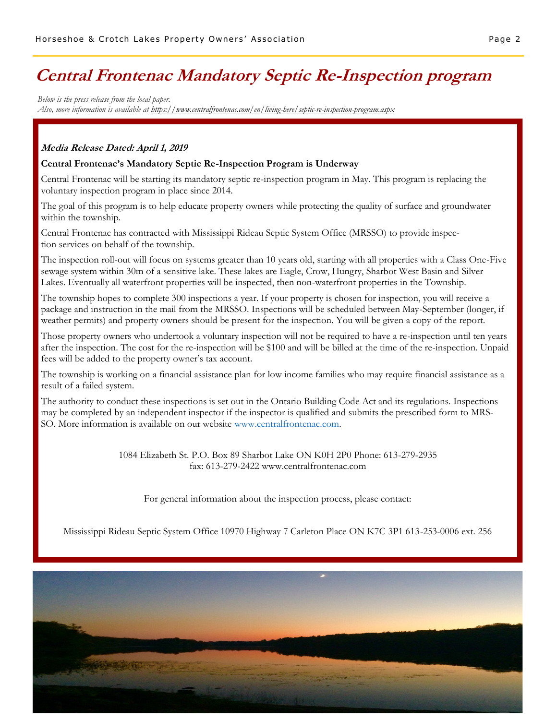## **Central Frontenac Mandatory Septic Re-Inspection program**

*Below is the press release from the local paper. Also, more information is available at https://www.centralfrontenac.com/en/living-here/septic-re-inspection-program.aspx*

#### **Media Release Dated: April 1, 2019**

#### **Central Frontenac's Mandatory Septic Re-Inspection Program is Underway**

Central Frontenac will be starting its mandatory septic re-inspection program in May. This program is replacing the voluntary inspection program in place since 2014.

The goal of this program is to help educate property owners while protecting the quality of surface and groundwater within the township.

Central Frontenac has contracted with Mississippi Rideau Septic System Office (MRSSO) to provide inspection services on behalf of the township.

The inspection roll-out will focus on systems greater than 10 years old, starting with all properties with a Class One-Five sewage system within 30m of a sensitive lake. These lakes are Eagle, Crow, Hungry, Sharbot West Basin and Silver Lakes. Eventually all waterfront properties will be inspected, then non-waterfront properties in the Township.

The township hopes to complete 300 inspections a year. If your property is chosen for inspection, you will receive a package and instruction in the mail from the MRSSO. Inspections will be scheduled between May-September (longer, if weather permits) and property owners should be present for the inspection. You will be given a copy of the report.

Those property owners who undertook a voluntary inspection will not be required to have a re-inspection until ten years after the inspection. The cost for the re-inspection will be \$100 and will be billed at the time of the re-inspection. Unpaid fees will be added to the property owner's tax account.

The township is working on a financial assistance plan for low income families who may require financial assistance as a result of a failed system.

The authority to conduct these inspections is set out in the Ontario Building Code Act and its regulations. Inspections may be completed by an independent inspector if the inspector is qualified and submits the prescribed form to MRS-SO. More information is available on our website www.centralfrontenac.com.

> 1084 Elizabeth St. P.O. Box 89 Sharbot Lake ON K0H 2P0 Phone: 613-279-2935 fax: 613-279-2422 www.centralfrontenac.com

For general information about the inspection process, please contact:

Mississippi Rideau Septic System Office 10970 Highway 7 Carleton Place ON K7C 3P1 613-253-0006 ext. 256

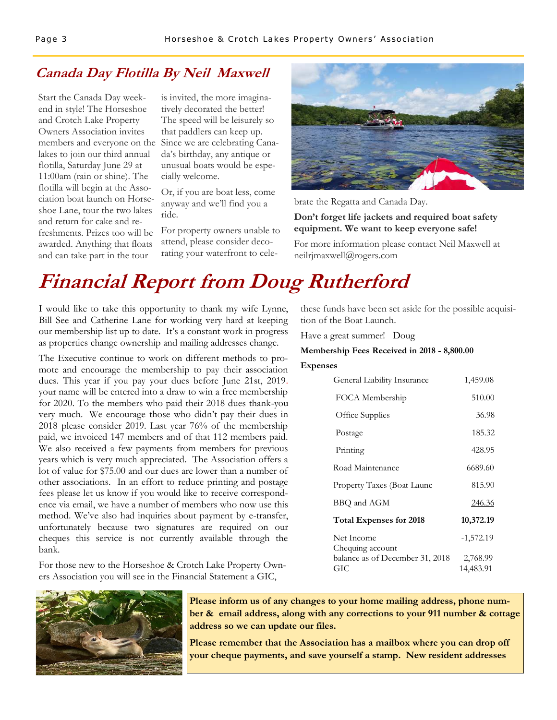### **Canada Day Flotilla By Neil Maxwell**

Start the Canada Day weekend in style! The Horseshoe and Crotch Lake Property Owners Association invites lakes to join our third annual flotilla, Saturday June 29 at 11:00am (rain or shine). The flotilla will begin at the Association boat launch on Horseshoe Lane, tour the two lakes and return for cake and refreshments. Prizes too will be awarded. Anything that floats and can take part in the tour

is invited, the more imaginatively decorated the better! The speed will be leisurely so that paddlers can keep up. members and everyone on the Since we are celebrating Canada's birthday, any antique or unusual boats would be especially welcome.

> Or, if you are boat less, come anyway and we'll find you a ride.

For property owners unable to attend, please consider decorating your waterfront to cele-



brate the Regatta and Canada Day.

#### **Don't forget life jackets and required boat safety equipment. We want to keep everyone safe!**

For more information please contact Neil Maxwell at neilrjmaxwell@rogers.com

# **Financial Report from Doug Rutherford**

I would like to take this opportunity to thank my wife Lynne, Bill See and Catherine Lane for working very hard at keeping our membership list up to date. It's a constant work in progress as properties change ownership and mailing addresses change.

The Executive continue to work on different methods to promote and encourage the membership to pay their association dues. This year if you pay your dues before June 21st, 2019. your name will be entered into a draw to win a free membership for 2020. To the members who paid their 2018 dues thank-you very much. We encourage those who didn't pay their dues in 2018 please consider 2019. Last year 76% of the membership paid, we invoiced 147 members and of that 112 members paid. We also received a few payments from members for previous years which is very much appreciated. The Association offers a lot of value for \$75.00 and our dues are lower than a number of other associations. In an effort to reduce printing and postage fees please let us know if you would like to receive correspondence via email, we have a number of members who now use this method. We've also had inquiries about payment by e-transfer, unfortunately because two signatures are required on our cheques this service is not currently available through the bank.

For those new to the Horseshoe & Crotch Lake Property Owners Association you will see in the Financial Statement a GIC,



these funds have been set aside for the possible acquisition of the Boat Launch.

Have a great summer! Doug

#### **Membership Fees Received in 2018 - 8,800.00**

#### **Expenses**

| General Liability Insurance     | 1,459.08      |
|---------------------------------|---------------|
| FOCA Membership                 | 510.00        |
| Office Supplies                 | 36.98         |
| Postage                         | 185.32        |
| Printing                        | 428.95        |
| Road Maintenance                | 6689.60       |
| Property Taxes (Boat Launc      | 815.90        |
| BBQ and AGM                     | <u>246.36</u> |
| <b>Total Expenses for 2018</b>  | 10,372.19     |
| Net Income<br>Chequing account  | $-1,572.19$   |
| balance as of December 31, 2018 | 2,768.99      |
| GIC                             | 14,483.91     |

**Please inform us of any changes to your home mailing address, phone number & email address, along with any corrections to your 911 number & cottage address so we can update our files.** 

**Please remember that the Association has a mailbox where you can drop off your cheque payments, and save yourself a stamp. New resident addresses**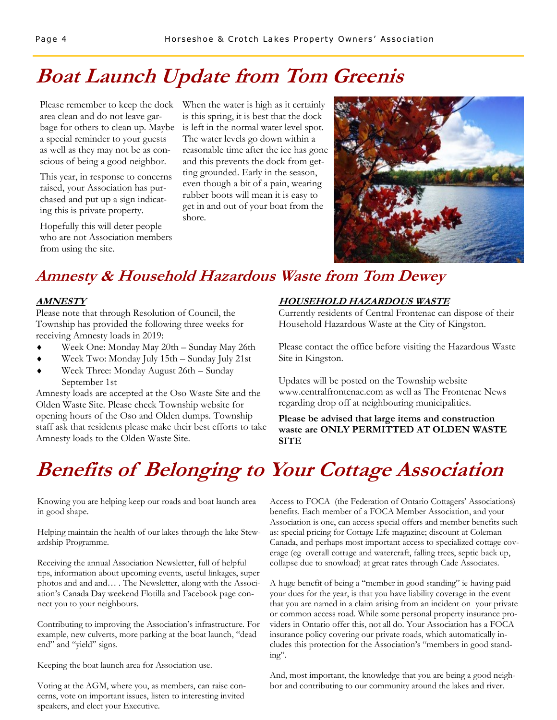# **Boat Launch Update from Tom Greenis**

Please remember to keep the dock area clean and do not leave garbage for others to clean up. Maybe a special reminder to your guests as well as they may not be as conscious of being a good neighbor.

This year, in response to concerns raised, your Association has purchased and put up a sign indicating this is private property.

Hopefully this will deter people who are not Association members from using the site.

When the water is high as it certainly is this spring, it is best that the dock is left in the normal water level spot. The water levels go down within a reasonable time after the ice has gone and this prevents the dock from getting grounded. Early in the season, even though a bit of a pain, wearing rubber boots will mean it is easy to get in and out of your boat from the shore.



## **Amnesty & Household Hazardous Waste from Tom Dewey**

#### **AMNESTY**

Please note that through Resolution of Council, the Township has provided the following three weeks for receiving Amnesty loads in 2019:

- Week One: Monday May 20th Sunday May 26th
- Week Two: Monday July 15th Sunday July 21st
- Week Three: Monday August 26th Sunday September 1st

Amnesty loads are accepted at the Oso Waste Site and the Olden Waste Site. Please check Township website for opening hours of the Oso and Olden dumps. Township staff ask that residents please make their best efforts to take Amnesty loads to the Olden Waste Site.

#### **HOUSEHOLD HAZARDOUS WASTE**

Currently residents of Central Frontenac can dispose of their Household Hazardous Waste at the City of Kingston.

Please contact the office before visiting the Hazardous Waste Site in Kingston.

Updates will be posted on the Township website www.centralfrontenac.com as well as The Frontenac News regarding drop off at neighbouring municipalities.

**Please be advised that large items and construction waste are ONLY PERMITTED AT OLDEN WASTE SITE** 

# **Benefits of Belonging to Your Cottage Association**

Knowing you are helping keep our roads and boat launch area in good shape.

Helping maintain the health of our lakes through the lake Stewardship Programme.

Receiving the annual Association Newsletter, full of helpful tips, information about upcoming events, useful linkages, super photos and and and… . The Newsletter, along with the Association's Canada Day weekend Flotilla and Facebook page connect you to your neighbours.

Contributing to improving the Association's infrastructure. For example, new culverts, more parking at the boat launch, "dead end" and "yield" signs.

Keeping the boat launch area for Association use.

Voting at the AGM, where you, as members, can raise concerns, vote on important issues, listen to interesting invited speakers, and elect your Executive.

 Access to FOCA (the Federation of Ontario Cottagers' Associations) benefits. Each member of a FOCA Member Association, and your Association is one, can access special offers and member benefits such as: special pricing for Cottage Life magazine; discount at Coleman Canada, and perhaps most important access to specialized cottage coverage (eg overall cottage and watercraft, falling trees, septic back up, collapse due to snowload) at great rates through Cade Associates.

A huge benefit of being a "member in good standing" ie having paid your dues for the year, is that you have liability coverage in the event that you are named in a claim arising from an incident on your private or common access road. While some personal property insurance providers in Ontario offer this, not all do. Your Association has a FOCA insurance policy covering our private roads, which automatically includes this protection for the Association's "members in good standing".

And, most important, the knowledge that you are being a good neighbor and contributing to our community around the lakes and river.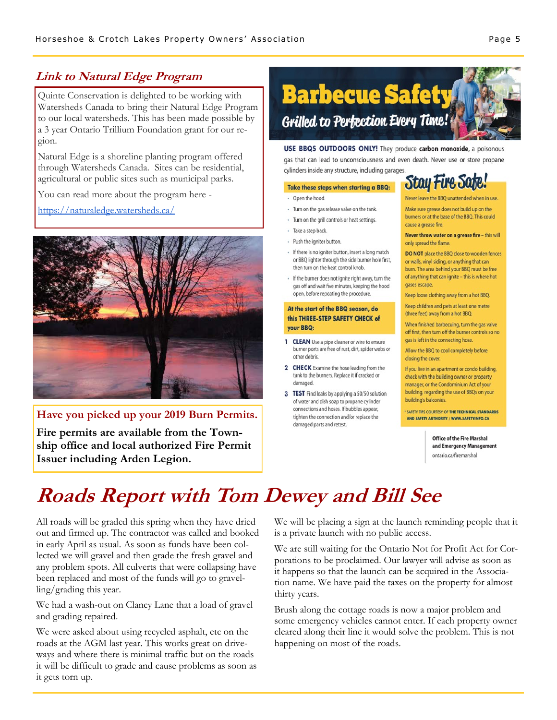### **Link to Natural Edge Program**

Quinte Conservation is delighted to be working with Watersheds Canada to bring their Natural Edge Program to our local watersheds. This has been made possible by a 3 year Ontario Trillium Foundation grant for our region.

Natural Edge is a shoreline planting program offered through Watersheds Canada. Sites can be residential, agricultural or public sites such as municipal parks.

You can read more about the program here -

<https://naturaledge.watersheds.ca/>



**Have you picked up your 2019 Burn Permits.** 

**Fire permits are available from the Township office and local authorized Fire Permit Issuer including Arden Legion.** 

# **Barbecue Safety Grilled to Perfection Every Time!**

USE BBQS OUTDOORS ONLY! They produce carbon monoxide, a poisonous gas that can lead to unconsciousness and even death. Never use or store propane cylinders inside any structure, including garages.

#### Take these steps when starting a BBQ:

#### · Open the hood

- · Turn on the gas release valve on the tank.
- · Turn on the grill controls or heat settings.
- Take a step back.
- · Push the igniter button.
- · If there is no igniter button, insert a long match or BBO lighter through the side burner hole first. then turn on the heat control knob.
- If the burner does not ignite right away, turn the gas off and wait five minutes, keeping the hood open, before repeating the procedure.

#### At the start of the BBQ season, do this THREE-STEP SAFETY CHECK of your BBQ:

- 1 CLEAN Use a pipe cleaner or wire to ensure burner ports are free of rust, dirt, spider webs or other debris.
- 2 CHECK Examine the hose leading from the tank to the burners. Replace it if cracked or damaged.
- 3 TEST Find leaks by applying a 50/50 solution of water and dish soap to propane cylinder connections and hoses. If bubbles appear. tighten the connection and/or replace the damaged parts and retest.

## **Stay Fire Safe!**

Never leave the BBO unattended when in use Make sure grease does not build up on the burners or at the base of the BBO. This could cause a grease fire.

Never throw water on a grease fire - this will only spread the flame.

DO NOT place the BBQ close to wooden fences or walls, vinyl siding, or anything that can burn. The area behind your BBQ must be free of anything that can ignite - this is where hot gases escape.

Keep loose clothing away from a hot BBQ.

Keep children and pets at least one metre (three feet) away from a hot BBQ.

When finished barbecuing, turn the gas valve off first, then turn off the burner controls so no gas is left in the connecting hose.

Allow the BBQ to cool completely before closing the cover.

If you live in an apartment or condo building, check with the building owner or property manager, or the Condominium Act of your building, regarding the use of BBQs on your building's balconies.

**\* SAFETY TIPS COURTESY OF THE TECHNICAL STANDARDS** AND SAFETY AUTHORITY / WWW.SAFETYINFO.CA

> **Office of the Fire Marshal** and Emergency Management ontario.ca/firemarshal

# **Roads Report with Tom Dewey and Bill See**

All roads will be graded this spring when they have dried out and firmed up. The contractor was called and booked in early April as usual. As soon as funds have been collected we will gravel and then grade the fresh gravel and any problem spots. All culverts that were collapsing have been replaced and most of the funds will go to gravelling/grading this year.

We had a wash-out on Clancy Lane that a load of gravel and grading repaired.

We were asked about using recycled asphalt, etc on the roads at the AGM last year. This works great on driveways and where there is minimal traffic but on the roads it will be difficult to grade and cause problems as soon as it gets torn up.

We will be placing a sign at the launch reminding people that it is a private launch with no public access.

We are still waiting for the Ontario Not for Profit Act for Corporations to be proclaimed. Our lawyer will advise as soon as it happens so that the launch can be acquired in the Association name. We have paid the taxes on the property for almost thirty years.

Brush along the cottage roads is now a major problem and some emergency vehicles cannot enter. If each property owner cleared along their line it would solve the problem. This is not happening on most of the roads.